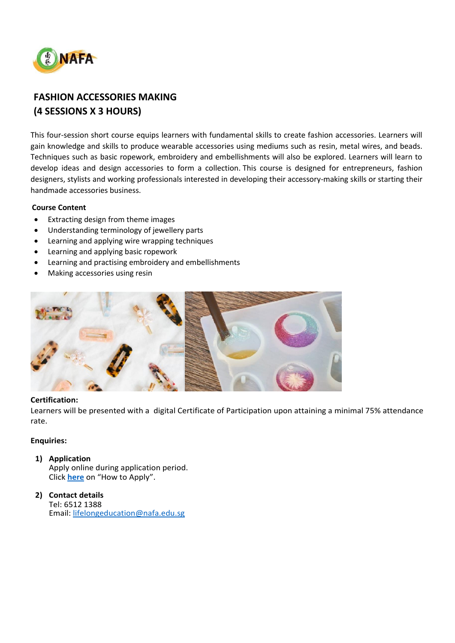

# **FASHION ACCESSORIES MAKING (4 SESSIONS X 3 HOURS)**

This four-session short course equips learners with fundamental skills to create fashion accessories. Learners will gain knowledge and skills to produce wearable accessories using mediums such as resin, metal wires, and beads. Techniques such as basic ropework, embroidery and embellishments will also be explored. Learners will learn to develop ideas and design accessories to form a collection. This course is designed for entrepreneurs, fashion designers, stylists and working professionals interested in developing their accessory-making skills or starting their handmade accessories business.

# **Course Content**

- Extracting design from theme images
- Understanding terminology of jewellery parts
- Learning and applying wire wrapping techniques
- Learning and applying basic ropework
- Learning and practising embroidery and embellishments
- Making accessories using resin



### **Certification:**

Learners will be presented with a digital Certificate of Participation upon attaining a minimal 75% attendance rate.

### **Enquiries:**

**1) Application**

Apply online during application period. Click **[here](https://www.nafa.edu.sg/courses/part-time/short-courses#collapseFive)** on "How to Apply".

**2) Contact details** Tel: 6512 1388 Email: [lifelongeducation@nafa.edu.sg](mailto:lifelongeducation@nafa.edu.sg)